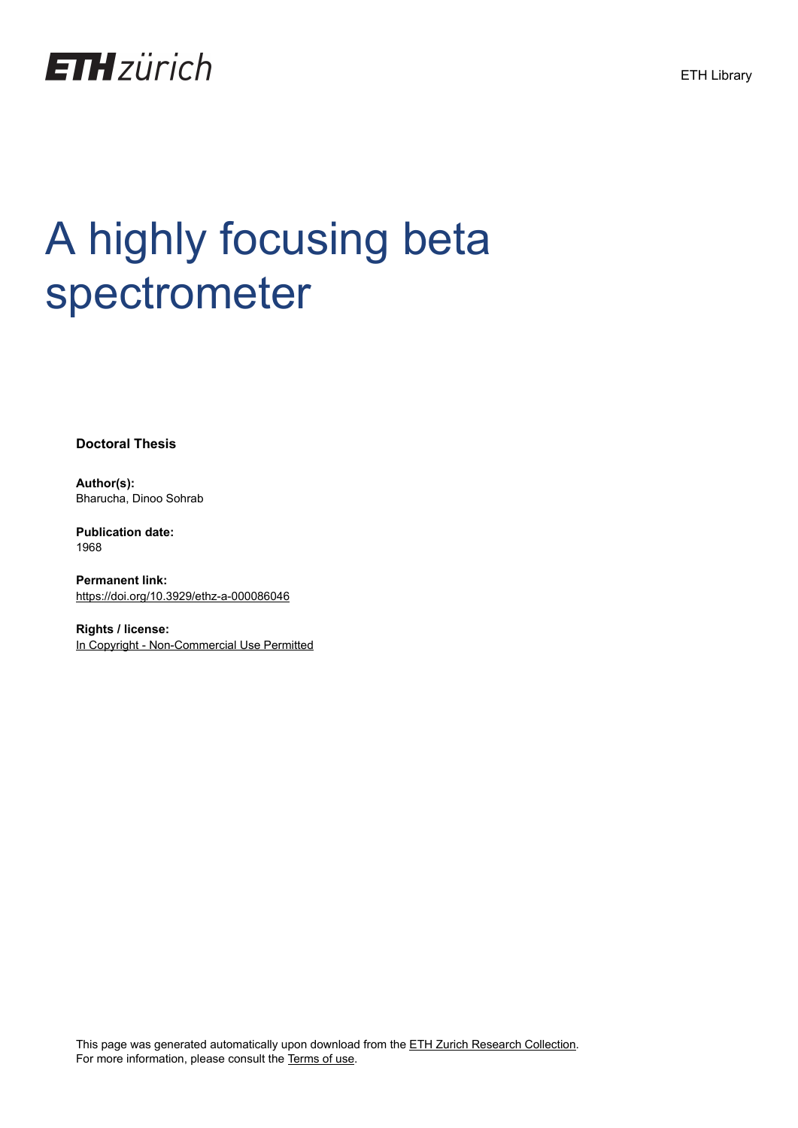

# A highly focusing beta spectrometer

**Doctoral Thesis**

**Author(s):** Bharucha, Dinoo Sohrab

**Publication date:** 1968

**Permanent link:** <https://doi.org/10.3929/ethz-a-000086046>

**Rights / license:** [In Copyright - Non-Commercial Use Permitted](http://rightsstatements.org/page/InC-NC/1.0/)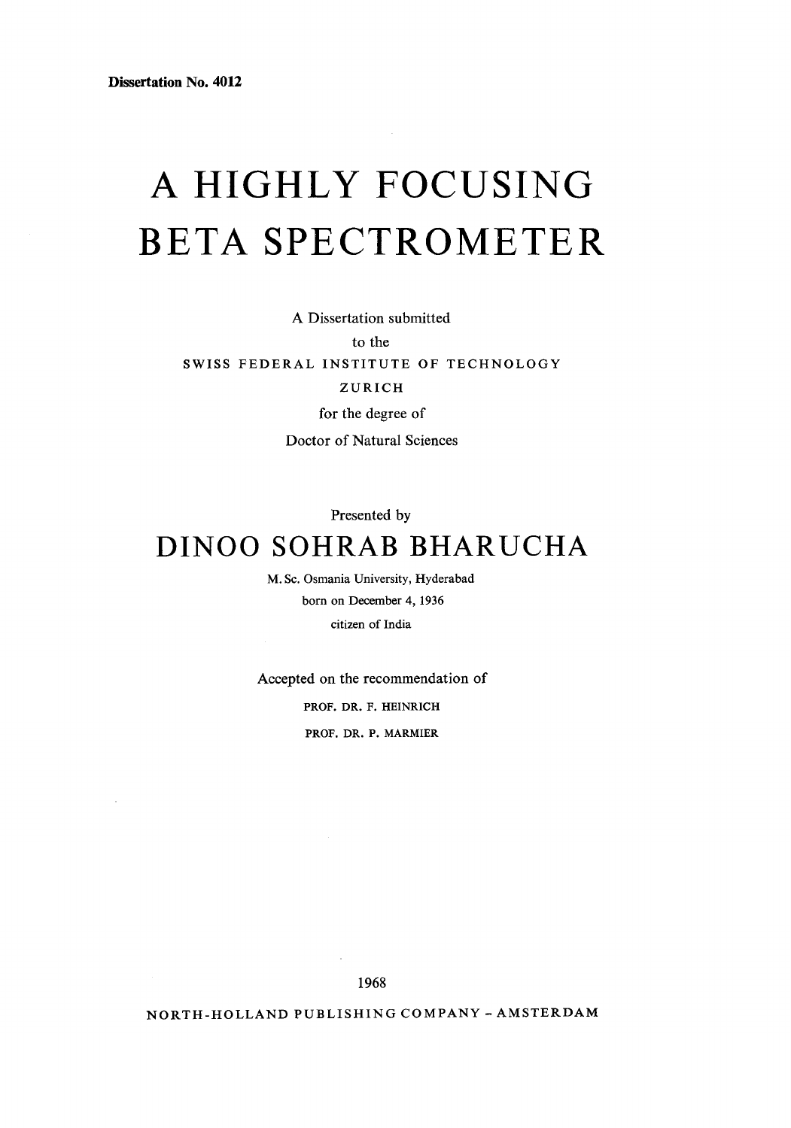## A HIGHLY FOCUSING BETA SPECTROMETER

A Dissertation submitted to the SWISS FEDERAL INSTITUTE OF TECHNOLOGY ZURICH for the degree of Doctor of Natural Sciences

Presented by

### DINOO SOHRAB BHARUCHA

M. Sc. Osmania University, Hyderabad born on December 4, 1936 citizen of India

Accepted on the recommendation of PROF. DR. F. HEINRICH PROF. DR. P. MARMIER

1968

NORTH-HOLLAND PUBLISHING COMPANY - AMSTERDAM